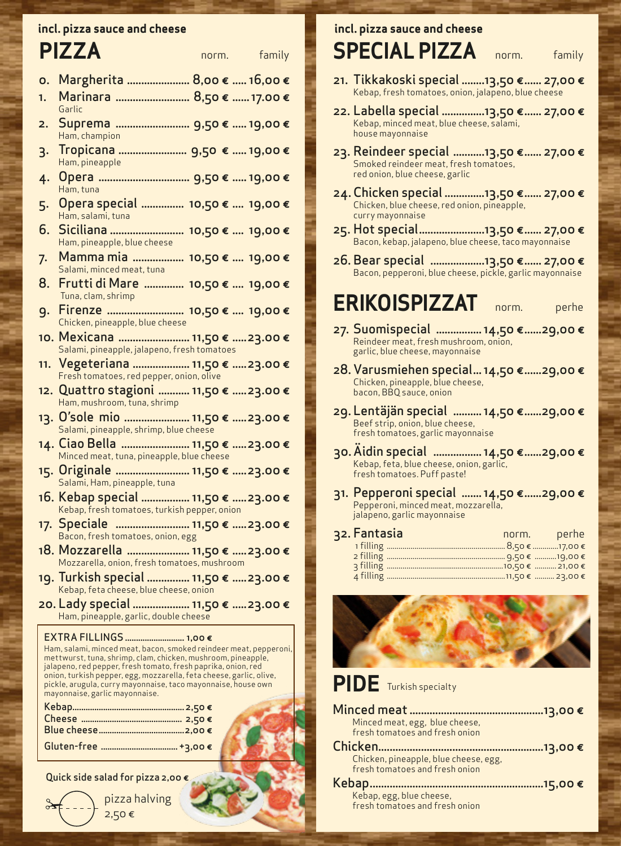### **incl. pizza sauce and cheese incl. pizza sauce and cheese**

| PIZZA        |                                                                                        | norm. | family |
|--------------|----------------------------------------------------------------------------------------|-------|--------|
| 0.           | Margherita  8,00 €  16,00 €                                                            |       |        |
| 1.<br>Garlic | Marinara  8,50 €  17.00 €                                                              |       |        |
| 2.           | Suprema  9,50 € 19,00 €<br>Ham, champion                                               |       |        |
| 3.           | Tropicana  9,50 €  19,00 €<br>Ham, pineapple                                           |       |        |
| 4.           | Орега  9,50 €  19,00 €<br>Ham, tuna                                                    |       |        |
| 5.           | Opera special  10,50 €  19,00 €<br>Ham, salami, tuna                                   |       |        |
| 6.           | Siciliana  10,50 €  19,00 €<br>Ham, pineapple, blue cheese                             |       |        |
| 7.           | Mamma mia  10,50 €  19,00 €<br>Salami, minced meat, tuna                               |       |        |
| 8.           | Frutti di Mare  10,50 €  19,00 €<br>Tuna, clam, shrimp                                 |       |        |
| <b>g.</b>    | Firenze  10,50 €  19,00 €<br>Chicken, pineapple, blue cheese                           |       |        |
|              | 10. Mexicana  11,50 € 23.00 €<br>Salami, pineapple, jalapeno, fresh tomatoes           |       |        |
| 11.          | Vegeteriana  11,50 €  23.00 €<br>Fresh tomatoes, red pepper, onion, olive              |       |        |
|              | 12. Quattro stagioni  11,50 €  23.00 €<br>Ham, mushroom, tuna, shrimp                  |       |        |
|              | 13. O'sole mio  11,50 € 23.00 €<br>Salami, pineapple, shrimp, blue cheese              |       |        |
|              | 14. Ciao Bella …………………… 11,50 € ……23.00 €<br>Minced meat, tuna, pineapple, blue cheese |       |        |
|              | 15. Originale  11,50 € 23.00 €<br>Salami, Ham, pineapple, tuna                         |       |        |
|              | 16. Kebap special  11,50 € 23.00 €<br>Kebap, fresh tomatoes, turkish pepper, onion     |       |        |
|              | 17. Speciale  11,50 €  23.00 €<br>Bacon, fresh tomatoes, onion, egg                    |       |        |
|              | 18. Mozzarella ………………… 11,50 € …23.00 €<br>Mozzarella, onion, fresh tomatoes, mushroom |       |        |
|              | 19. Turkish special  11,50 € 23.00 €<br>Kebap, feta cheese, blue cheese, onion         |       |        |
|              | 20. Lady special  11,50 €  23.00 €                                                     |       |        |

Ham, pineapple, garlic, double cheese

### EXTRA FILLINGS ........................... 1,00 €

Ham, salami, minced meat, bacon, smoked reindeer meat, pepperoni, mettwurst, tuna, shrimp, clam, chicken, mushroom, pineapple, jalapeno, red pepper, fresh tomato, fresh paprika, onion, red onion, turkish pepper, egg, mozzarella, feta cheese, garlic, olive, pickle, arugula, curry mayonnaise, taco mayonnaise, house own mayonnaise, garlic mayonnaise.

Quick side salad for pizza 2,00 €

pizza halving 2,50 €

# **SPECIAL PIZZA** norm. family

- 21. Tikkakoski special ........13,50 €...... 27,00 € Kebap, fresh tomatoes, onion, jalapeno, blue cheese
- 22. Labella special ...............13,50 €...... 27,00 € Kebap, minced meat, blue cheese, salami, house mayonnaise
- 23. Reindeer special ...........13,50 €...... 27,00 € Smoked reindeer meat, fresh tomatoes, red onion, blue cheese, garlic
- 24.Chicken special ..............13,50 €...... 27,00 € Chicken, blue cheese, red onion, pineapple, curry mayonnaise
- 25. Hot special.......................13,50 €...... 27,00 € Bacon, kebap, jalapeno, blue cheese, taco mayonnaise
- 26. Bear special ...................13,50 €...... 27,00 € Bacon, pepperoni, blue cheese, pickle, garlic mayonnaise

# **ERIKOISPIZZAT** norm. perhe

- 27. Suomispecial ................14,50 €......29,00 € Reindeer meat, fresh mushroom, onion, garlic, blue cheese, mayonnaise
- 28. Varusmiehen special...14,50 €......29,00 € Chicken, pineapple, blue cheese, bacon, BBQ sauce, onion
- 29. Lentäjän special ..........14,50 €......29,00 € Beef strip, onion, blue cheese, fresh tomatoes, garlic mayonnaise
- 30.Äidin special .................14,50 €......29,00 € Kebap, feta, blue cheese, onion, garlic, fresh tomatoes. Puff paste!
- 31. Pepperoni special .......14,50 €......29,00 € Pepperoni, minced meat, mozzarella, jalapeno, garlic mayonnaise

| 32. Fantasia | norm. perhe |
|--------------|-------------|
|              |             |
|              |             |
|              |             |
|              |             |



## **PIDE** Turkish specialty

| Minced meat, egg, blue cheese,<br>fresh tomatoes and fresh onion        |  |
|-------------------------------------------------------------------------|--|
|                                                                         |  |
| Chicken, pineapple, blue cheese, egg,<br>fresh tomatoes and fresh onion |  |
|                                                                         |  |
| Kebap, egg, blue cheese,<br>fresh tomatoes and fresh onion              |  |